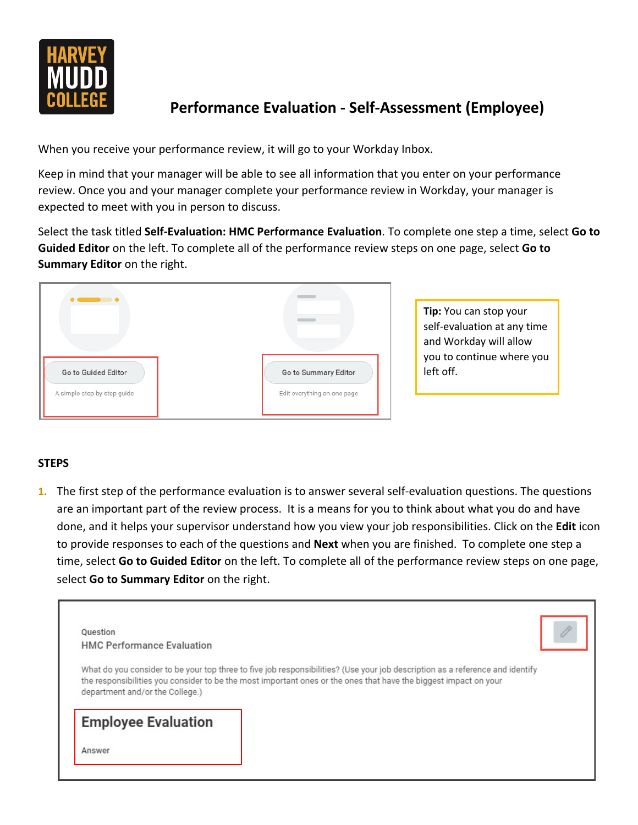

## **Performance Evaluation - Self-Assessment (Employee)**

When you receive your performance review, it will go to your Workday Inbox.

Keep in mind that your manager will be able to see all information that you enter on your performance review. Once you and your manager complete your performance review in Workday, your manager is expected to meet with you in person to discuss.

Select the task titled **Self-Evaluation: HMC Performance Evaluation**. To complete one step a time, select **Go to Guided Editor** on the left. To complete all of the performance review steps on one page, select **Go to Summary Editor** on the right.



**Tip:** You can stop your self-evaluation at any time and Workday will allow you to continue where you left off.

## **STEPS**

**1.** The first step of the performance evaluation is to answer several self-evaluation questions. The questions are an important part of the review process. It is a means for you to think about what you do and have done, and it helps your supervisor understand how you view your job responsibilities. Click on the **Edit** icon to provide responses to each of the questions and **Next** when you are finished. To complete one step a time, select **Go to Guided Editor** on the left. To complete all of the performance review steps on one page, select **Go to Summary Editor** on the right.

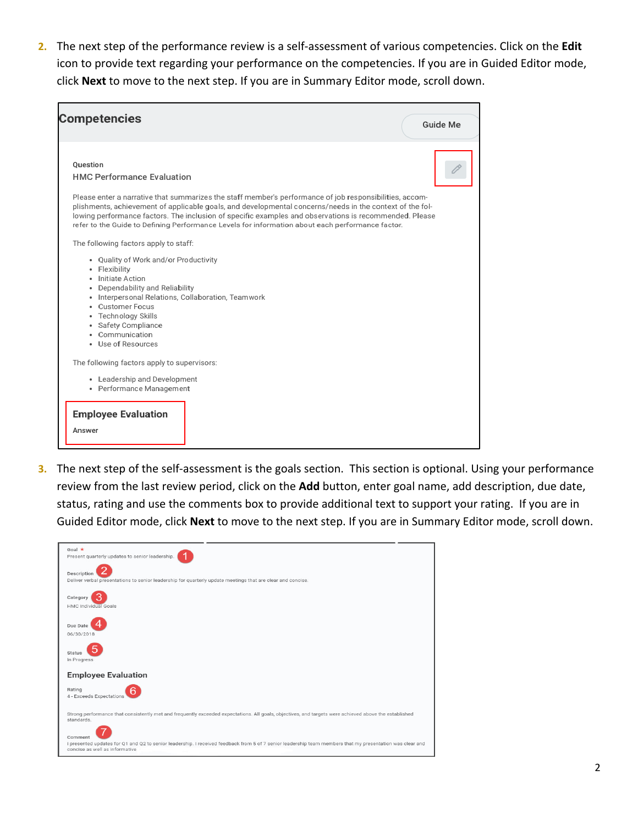**2.** The next step of the performance review is a self-assessment of various competencies. Click on the **Edit** icon to provide text regarding your performance on the competencies. If you are in Guided Editor mode, click **Next** to move to the next step. If you are in Summary Editor mode, scroll down.



**3.** The next step of the self-assessment is the goals section. This section is optional. Using your performance review from the last review period, click on the **Add** button, enter goal name, add description, due date, status, rating and use the comments box to provide additional text to support your rating. If you are in Guided Editor mode, click **Next** to move to the next step. If you are in Summary Editor mode, scroll down.

| Goal $\star$<br>Present quarterly updates to senior leadership.                                                                                                                                        |
|--------------------------------------------------------------------------------------------------------------------------------------------------------------------------------------------------------|
| Description<br>Deliver verbal presentations to senior leadership for quarterly update meetings that are clear and concise.                                                                             |
| Category<br><b>HMC Individual Goals</b>                                                                                                                                                                |
| Due Date<br>06/30/2018                                                                                                                                                                                 |
| Status<br>In Progress                                                                                                                                                                                  |
| <b>Employee Evaluation</b>                                                                                                                                                                             |
| Rating<br>4 - Exceeds Expectations                                                                                                                                                                     |
| Strong performance that consistently met and frequently exceeded expectations. All goals, objectives, and targets were achieved above the established<br>standards.                                    |
| Comment<br>I presented updates for Q1 and Q2 to senior leadership. I received feedback from 5 of 7 senior leadership team members that my presentation was clear and<br>concise as well as informative |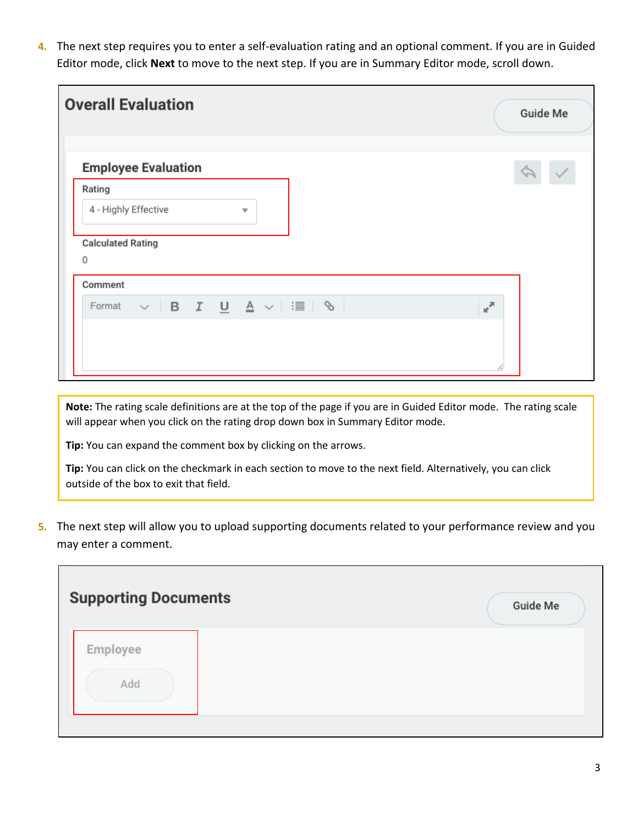**4.** The next step requires you to enter a self-evaluation rating and an optional comment. If you are in Guided Editor mode, click **Next** to move to the next step. If you are in Summary Editor mode, scroll down.

| <b>Overall Evaluation</b>                                                                                        | <b>Guide Me</b>                        |
|------------------------------------------------------------------------------------------------------------------|----------------------------------------|
| <b>Employee Evaluation</b>                                                                                       |                                        |
| Rating                                                                                                           |                                        |
| 4 - Highly Effective<br>$\overline{\mathbf{v}}$                                                                  |                                        |
| <b>Calculated Rating</b><br>0<br>Comment                                                                         |                                        |
| Format $\vee$   <b>B</b> $I$ $\underline{\mathsf{U}}$ $\underline{\mathsf{A}}$ $\vee$   $\equiv$   $\mathsf{\%}$ | $\mathbb{R}^{\overline{\mathbb{N}}^+}$ |
|                                                                                                                  | ∞                                      |

**Note:** The rating scale definitions are at the top of the page if you are in Guided Editor mode. The rating scale will appear when you click on the rating drop down box in Summary Editor mode.

**Tip:** You can expand the comment box by clicking on the arrows.

**Tip:** You can click on the checkmark in each section to move to the next field. Alternatively, you can click outside of the box to exit that field.

**5.** The next step will allow you to upload supporting documents related to your performance review and you may enter a comment.

| <b>Supporting Documents</b> | <b>Guide Me</b> |
|-----------------------------|-----------------|
| Employee<br>Add             |                 |